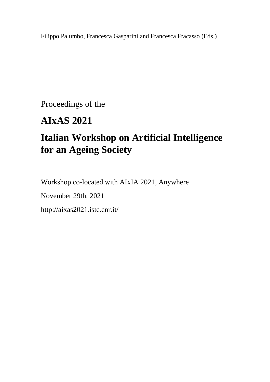Filippo Palumbo, Francesca Gasparini and Francesca Fracasso (Eds.)

Proceedings of the

## **AIxAS 2021**

# **Italian Workshop on Artificial Intelligence for an Ageing Society**

Workshop co-located with AIxIA 2021, Anywhere

November 29th, 2021

http://aixas2021.istc.cnr.it/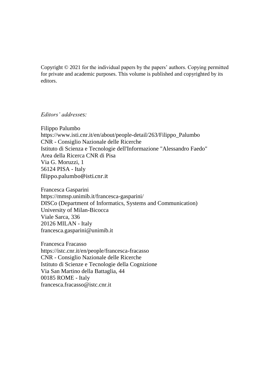Copyright © 2021 for the individual papers by the papers' authors. Copying permitted for private and academic purposes. This volume is published and copyrighted by its editors.

*Editors' addresses:* 

Filippo Palumbo https://www.isti.cnr.it/en/about/people-detail/263/Filippo\_Palumbo CNR - Consiglio Nazionale delle Ricerche Istituto di Scienza e Tecnologie dell'Informazione "Alessandro Faedo" Area della Ricerca CNR di Pisa Via G. Moruzzi, 1 56124 PISA - Italy [filippo.palumbo@isti.cnr.it](mailto:filippo.palumbo@isti.cnr.it)

Francesca Gasparini https://mmsp.unimib.it/francesca-gasparini/ DISCo (Department of Informatics, Systems and Communication) University of Milan-Bicocca Viale Sarca, 336 20126 MILAN - Italy francesca.gasparini@unimib.it

Francesca Fracasso https://istc.cnr.it/en/people/francesca-fracasso CNR - Consiglio Nazionale delle Ricerche Istituto di Scienze e Tecnologie della Cognizione Via San Martino della Battaglia, 44 00185 ROME - Italy francesca.fracasso@istc.cnr.it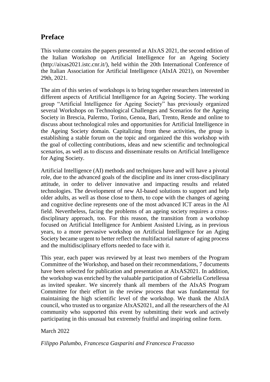### **Preface**

This volume contains the papers presented at AIxAS 2021, the second edition of the Italian Workshop on Artificial Intelligence for an Ageing Society (http://aixas2021.istc.cnr.it/), held within the 20th International Conference of the Italian Association for Artificial Intelligence (AIxIA 2021), on November 29th, 2021.

The aim of this series of workshops is to bring together researchers interested in different aspects of Artificial Intelligence for an Ageing Society. The working group "Artificial Intelligence for Ageing Society" has previously organized several Workshops on Technological Challenges and Scenarios for the Ageing Society in Brescia, Palermo, Torino, Genoa, Bari, Trento, Rende and online to discuss about technological roles and opportunities for Artificial Intelligence in the Ageing Society domain. Capitalizing from these activities, the group is establishing a stable forum on the topic and organized the this workshop with the goal of collecting contributions, ideas and new scientific and technological scenarios, as well as to discuss and disseminate results on Artificial Intelligence for Aging Society.

Artificial Intelligence (AI) methods and techniques have and will have a pivotal role, due to the advanced goals of the discipline and its inner cross-disciplinary attitude, in order to deliver innovative and impacting results and related technologies. The development of new AI-based solutions to support and help older adults, as well as those close to them, to cope with the changes of ageing and cognitive decline represents one of the most advanced ICT areas in the AI field. Nevertheless, facing the problems of an ageing society requires a crossdisciplinary approach, too. For this reason, the transition from a workshop focused on Artificial Intelligence for Ambient Assisted Living, as in previous years, to a more pervasive workshop on Artificial Intelligence for an Aging Society became urgent to better reflect the multifactorial nature of aging process and the multidisciplinary efforts needed to face with it.

This year, each paper was reviewed by at least two members of the Program Committee of the Workshop, and based on their recommendations, 7 documents have been selected for publication and presentation at AIxAS2021. In addition, the workshop was enriched by the valuable participation of Gabriella Cortellessa as invited speaker. We sincerely thank all members of the AIxAS Program Committee for their effort in the review process that was fundamental for maintaining the high scientific level of the workshop. We thank the AIxIA council, who trusted us to organize AIxAS2021, and all the researchers of the AI community who supported this event by submitting their work and actively participating in this unusual but extremely fruitful and inspiring online form.

March 2022

*Filippo Palumbo, Francesca Gasparini and Francesca Fracasso*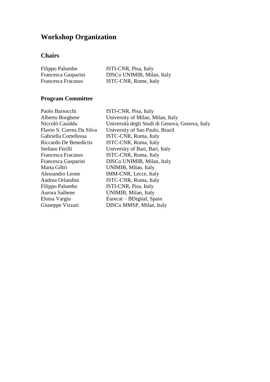## **Workshop Organization**

## **Chairs**

| Filippo Palumbo     | ISTI-CNR, Pisa, Italy      |
|---------------------|----------------------------|
| Francesca Gasparini | DISCo UNIMIB, Milan, Italy |
| Francesca Fracasso  | ISTC-CNR, Rome, Italy      |

## **Program Committee**

| Paolo Barsocchi           | ISTI-CNR, Pisa, Italy                           |
|---------------------------|-------------------------------------------------|
| Alberto Borghese          | University of Milan, Milan, Italy               |
| Niccolò Casiddu           | Università degli Studi di Genova, Genova, Italy |
| Flavio S. Correa Da Silva | University of Sao Paulo, Brazil                 |
| Gabriella Cortellessa     | ISTC-CNR, Roma, Italy                           |
| Riccardo De Benedictis    | ISTC-CNR, Roma, Italy                           |
| Stefano Ferilli           | University of Bari, Bari, Italy                 |
| Francesca Fracasso        | ISTC-CNR, Roma, Italy                           |
| Francesca Gasparini       | DISCo UNIMIB, Milan, Italy                      |
| Marta Giltri              | UNIMIB, Milan, Italy                            |
| Alessandro Leone          | IMM-CNR, Lecce, Italy                           |
| Andrea Orlandini          | ISTC-CNR, Roma, Italy                           |
| Filippo Palumbo           | ISTI-CNR, Pisa, Italy                           |
| Aurora Saibene            | UNIMIB, Milan, Italy                            |
| Eloisa Vargiu             | Eurecat – BDigital, Spain                       |
| Giuseppe Vizzari          | DISCo MMSP, Milan, Italy                        |
|                           |                                                 |